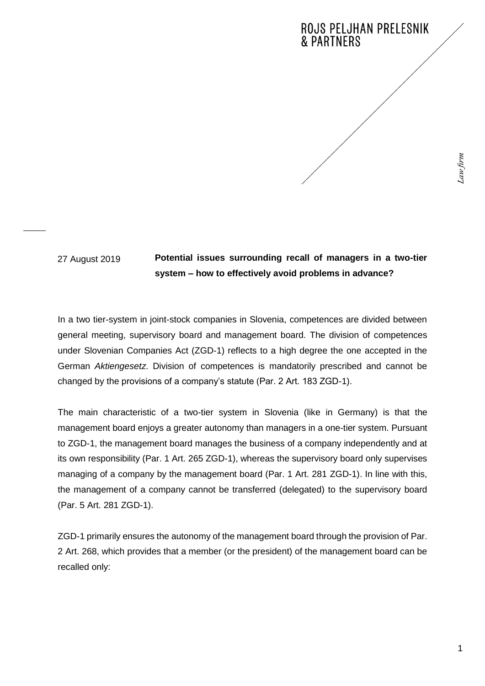# **ROJS PELJHAN PRELESNIK & PARTNERS**

27 August 2019

## **Potential issues surrounding recall of managers in a two-tier system – how to effectively avoid problems in advance?**

In a two tier-system in joint-stock companies in Slovenia, competences are divided between general meeting, supervisory board and management board. The division of competences under Slovenian Companies Act (ZGD-1) reflects to a high degree the one accepted in the German *Aktiengesetz*. Division of competences is mandatorily prescribed and cannot be changed by the provisions of a company's statute (Par. 2 Art. 183 ZGD-1).

The main characteristic of a two-tier system in Slovenia (like in Germany) is that the management board enjoys a greater autonomy than managers in a one-tier system. Pursuant to ZGD-1, the management board manages the business of a company independently and at its own responsibility (Par. 1 Art. 265 ZGD-1), whereas the supervisory board only supervises managing of a company by the management board (Par. 1 Art. 281 ZGD-1). In line with this, the management of a company cannot be transferred (delegated) to the supervisory board (Par. 5 Art. 281 ZGD-1).

ZGD-1 primarily ensures the autonomy of the management board through the provision of Par. 2 Art. 268, which provides that a member (or the president) of the management board can be recalled only: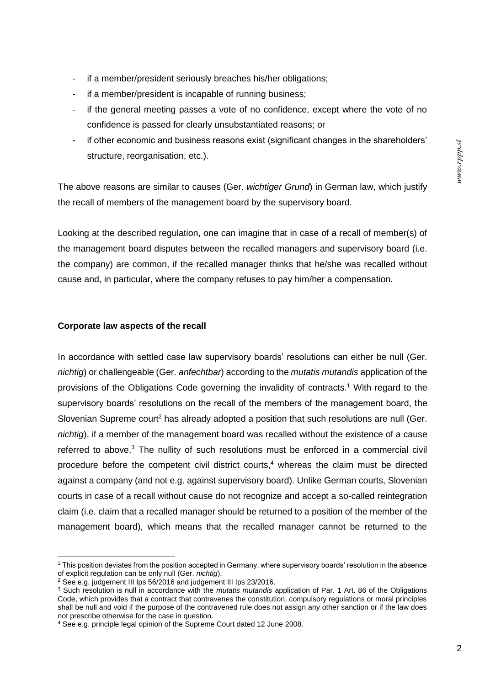- if a member/president seriously breaches his/her obligations;
- if a member/president is incapable of running business;
- if the general meeting passes a vote of no confidence, except where the vote of no confidence is passed for clearly unsubstantiated reasons; or
- if other economic and business reasons exist (significant changes in the shareholders' structure, reorganisation, etc.).

The above reasons are similar to causes (Ger. *wichtiger Grund*) in German law, which justify the recall of members of the management board by the supervisory board.

Looking at the described regulation, one can imagine that in case of a recall of member(s) of the management board disputes between the recalled managers and supervisory board (i.e. the company) are common, if the recalled manager thinks that he/she was recalled without cause and, in particular, where the company refuses to pay him/her a compensation.

### **Corporate law aspects of the recall**

In accordance with settled case law supervisory boards' resolutions can either be null (Ger. *nichtig*) or challengeable (Ger. *anfechtbar*) according to the *mutatis mutandis* application of the provisions of the Obligations Code governing the invalidity of contracts.<sup>1</sup> With regard to the supervisory boards' resolutions on the recall of the members of the management board, the Slovenian Supreme court<sup>2</sup> has already adopted a position that such resolutions are null (Ger. *nichtig*), if a member of the management board was recalled without the existence of a cause referred to above.<sup>3</sup> The nullity of such resolutions must be enforced in a commercial civil procedure before the competent civil district courts, <sup>4</sup> whereas the claim must be directed against a company (and not e.g. against supervisory board). Unlike German courts, Slovenian courts in case of a recall without cause do not recognize and accept a so-called reintegration claim (i.e. claim that a recalled manager should be returned to a position of the member of the management board), which means that the recalled manager cannot be returned to the

<sup>1</sup> This position deviates from the position accepted in Germany, where supervisory boards' resolution in the absence of explicit regulation can be only null (Ger. *nichtig*).

<sup>2</sup> See e.g. judgement III Ips 56/2016 and judgement III Ips 23/2016.

<sup>3</sup> Such resolution is null in accordance with the *mutatis mutandis* application of Par. 1 Art. 86 of the Obligations Code, which provides that a contract that contravenes the constitution, compulsory regulations or moral principles shall be null and void if the purpose of the contravened rule does not assign any other sanction or if the law does not prescribe otherwise for the case in question.

<sup>4</sup> See e.g. principle legal opinion of the Supreme Court dated 12 June 2008.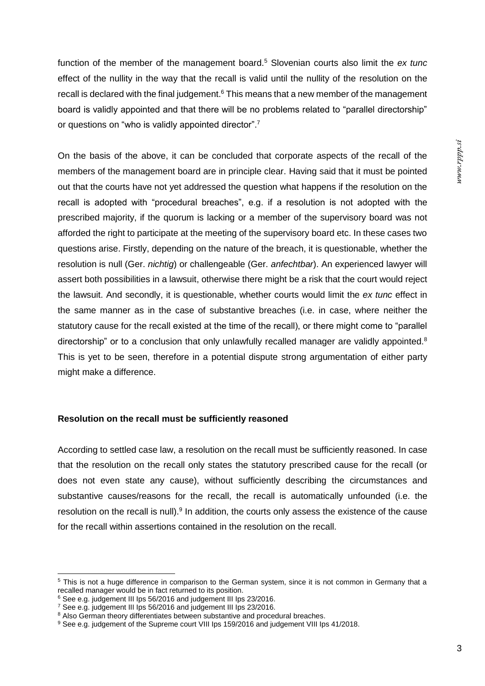function of the member of the management board.<sup>5</sup> Slovenian courts also limit the *ex tunc* effect of the nullity in the way that the recall is valid until the nullity of the resolution on the recall is declared with the final judgement. $6$  This means that a new member of the management board is validly appointed and that there will be no problems related to "parallel directorship" or questions on "who is validly appointed director".<sup>7</sup>

On the basis of the above, it can be concluded that corporate aspects of the recall of the members of the management board are in principle clear. Having said that it must be pointed out that the courts have not yet addressed the question what happens if the resolution on the recall is adopted with "procedural breaches", e.g. if a resolution is not adopted with the prescribed majority, if the quorum is lacking or a member of the supervisory board was not afforded the right to participate at the meeting of the supervisory board etc. In these cases two questions arise. Firstly, depending on the nature of the breach, it is questionable, whether the resolution is null (Ger. *nichtig*) or challengeable (Ger. *anfechtbar*). An experienced lawyer will assert both possibilities in a lawsuit, otherwise there might be a risk that the court would reject the lawsuit. And secondly, it is questionable, whether courts would limit the *ex tunc* effect in the same manner as in the case of substantive breaches (i.e. in case, where neither the statutory cause for the recall existed at the time of the recall), or there might come to "parallel directorship" or to a conclusion that only unlawfully recalled manager are validly appointed.<sup>8</sup> This is yet to be seen, therefore in a potential dispute strong argumentation of either party might make a difference.

### **Resolution on the recall must be sufficiently reasoned**

According to settled case law, a resolution on the recall must be sufficiently reasoned. In case that the resolution on the recall only states the statutory prescribed cause for the recall (or does not even state any cause), without sufficiently describing the circumstances and substantive causes/reasons for the recall, the recall is automatically unfounded (i.e. the resolution on the recall is null). $9$  In addition, the courts only assess the existence of the cause for the recall within assertions contained in the resolution on the recall.

<sup>&</sup>lt;sup>5</sup> This is not a huge difference in comparison to the German system, since it is not common in Germany that a recalled manager would be in fact returned to its position.

<sup>&</sup>lt;sup>6</sup> See e.g. judgement III Ips 56/2016 and judgement III Ips 23/2016.

<sup>7</sup> See e.g. judgement III Ips 56/2016 and judgement III Ips 23/2016.

<sup>&</sup>lt;sup>8</sup> Also German theory differentiates between substantive and procedural breaches.

<sup>&</sup>lt;sup>9</sup> See e.g. judgement of the Supreme court VIII Ips 159/2016 and judgement VIII Ips 41/2018.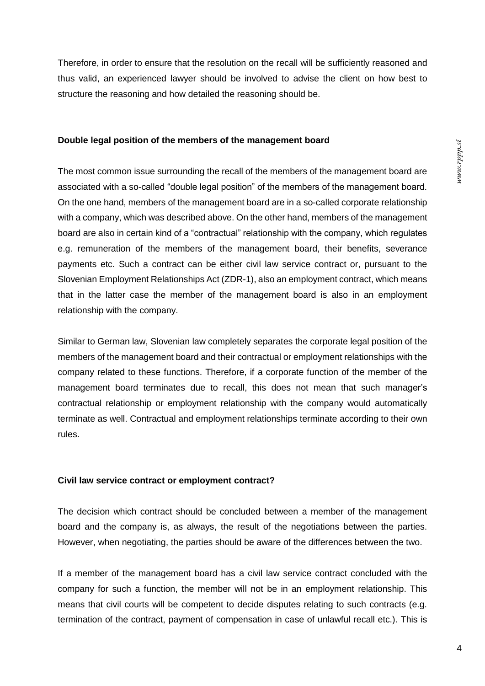Therefore, in order to ensure that the resolution on the recall will be sufficiently reasoned and thus valid, an experienced lawyer should be involved to advise the client on how best to structure the reasoning and how detailed the reasoning should be.

#### **Double legal position of the members of the management board**

The most common issue surrounding the recall of the members of the management board are associated with a so-called "double legal position" of the members of the management board. On the one hand, members of the management board are in a so-called corporate relationship with a company, which was described above. On the other hand, members of the management board are also in certain kind of a "contractual" relationship with the company, which regulates e.g. remuneration of the members of the management board, their benefits, severance payments etc. Such a contract can be either civil law service contract or, pursuant to the Slovenian Employment Relationships Act (ZDR-1), also an employment contract, which means that in the latter case the member of the management board is also in an employment relationship with the company.

Similar to German law, Slovenian law completely separates the corporate legal position of the members of the management board and their contractual or employment relationships with the company related to these functions. Therefore, if a corporate function of the member of the management board terminates due to recall, this does not mean that such manager's contractual relationship or employment relationship with the company would automatically terminate as well. Contractual and employment relationships terminate according to their own rules.

### **Civil law service contract or employment contract?**

The decision which contract should be concluded between a member of the management board and the company is, as always, the result of the negotiations between the parties. However, when negotiating, the parties should be aware of the differences between the two.

If a member of the management board has a civil law service contract concluded with the company for such a function, the member will not be in an employment relationship. This means that civil courts will be competent to decide disputes relating to such contracts (e.g. termination of the contract, payment of compensation in case of unlawful recall etc.). This is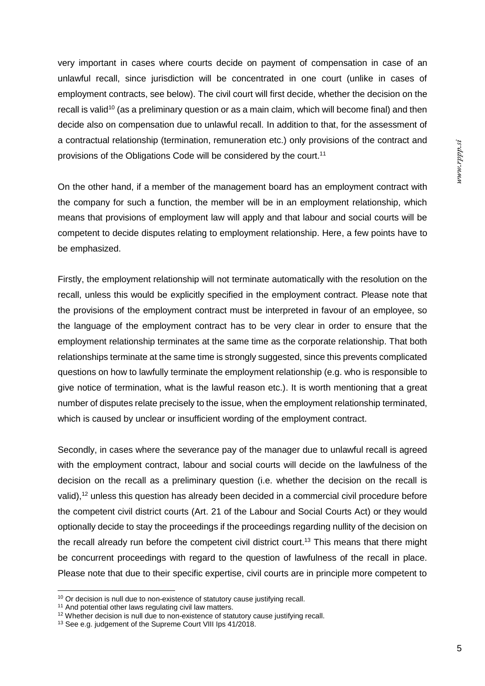very important in cases where courts decide on payment of compensation in case of an unlawful recall, since jurisdiction will be concentrated in one court (unlike in cases of employment contracts, see below). The civil court will first decide, whether the decision on the recall is valid<sup>10</sup> (as a preliminary question or as a main claim, which will become final) and then decide also on compensation due to unlawful recall. In addition to that, for the assessment of a contractual relationship (termination, remuneration etc.) only provisions of the contract and provisions of the Obligations Code will be considered by the court.<sup>11</sup>

On the other hand, if a member of the management board has an employment contract with the company for such a function, the member will be in an employment relationship, which means that provisions of employment law will apply and that labour and social courts will be competent to decide disputes relating to employment relationship. Here, a few points have to be emphasized.

Firstly, the employment relationship will not terminate automatically with the resolution on the recall, unless this would be explicitly specified in the employment contract. Please note that the provisions of the employment contract must be interpreted in favour of an employee, so the language of the employment contract has to be very clear in order to ensure that the employment relationship terminates at the same time as the corporate relationship. That both relationships terminate at the same time is strongly suggested, since this prevents complicated questions on how to lawfully terminate the employment relationship (e.g. who is responsible to give notice of termination, what is the lawful reason etc.). It is worth mentioning that a great number of disputes relate precisely to the issue, when the employment relationship terminated, which is caused by unclear or insufficient wording of the employment contract.

Secondly, in cases where the severance pay of the manager due to unlawful recall is agreed with the employment contract, labour and social courts will decide on the lawfulness of the decision on the recall as a preliminary question (i.e. whether the decision on the recall is valid),<sup>12</sup> unless this question has already been decided in a commercial civil procedure before the competent civil district courts (Art. 21 of the Labour and Social Courts Act) or they would optionally decide to stay the proceedings if the proceedings regarding nullity of the decision on the recall already run before the competent civil district court.<sup>13</sup> This means that there might be concurrent proceedings with regard to the question of lawfulness of the recall in place. Please note that due to their specific expertise, civil courts are in principle more competent to

 $10$  Or decision is null due to non-existence of statutory cause justifying recall.

<sup>&</sup>lt;sup>11</sup> And potential other laws regulating civil law matters.

 $12$  Whether decision is null due to non-existence of statutory cause justifying recall.

<sup>13</sup> See e.g. judgement of the Supreme Court VIII Ips 41/2018.